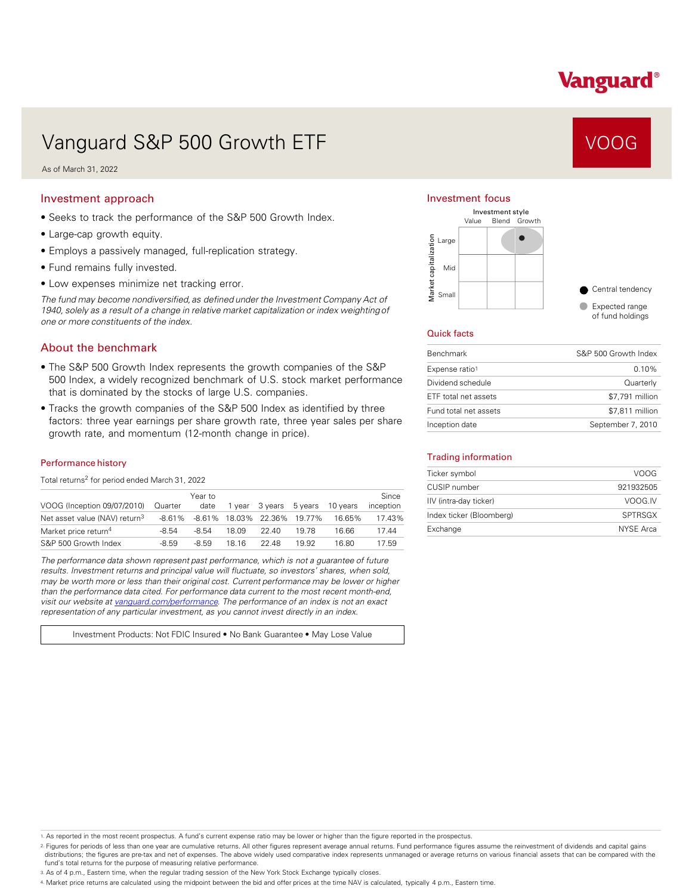# Vanguard®

# Vanguard S&P 500 Growth ETF VOOG VOOG

As of March 31, 2022

#### Investment approach

- Seeks to track the performance of the S&P 500 Growth Index.
- Large-cap growth equity.
- Employs a passively managed, full-replication strategy.
- Fund remains fully invested.
- Low expenses minimize net tracking error.

*The fund may become nondiversified, as defined under the Investment Company Act of 1940, solely as a result of a change in relative market capitalization or index weighting of one or more constituents of the index.* 

### About the benchmark

- The S&P 500 Growth Index represents the growth companies of the S&P 500 Index, a widely recognized benchmark of U.S. stock market performance that is dominated by the stocks of large U.S. companies.
- Tracks the growth companies of the S&P 500 Index as identified by three factors: three year earnings per share growth rate, three year sales per share growth rate, and momentum (12-month change in price).

#### Performance history

Total returns<sup>2</sup> for period ended March 31, 2022

| VOOG (Inception 09/07/2010)               | Quarter | Year to<br>date | 1 vear | 3 vears                     | 5 vears | 10 vears | Since<br>inception |
|-------------------------------------------|---------|-----------------|--------|-----------------------------|---------|----------|--------------------|
| Net asset value (NAV) return <sup>3</sup> | -8.61%  |                 |        | -8.61% 18.03% 22.36% 19.77% |         | 16.65%   | 17.43%             |
| Market price return <sup>4</sup>          | $-8.54$ | $-8.54$         | 18.09  | 22.40                       | 19 78   | 16.66    | 17.44              |
| S&P 500 Growth Index                      | $-8.59$ | $-8.59$         | 18 16  | 22.48                       | 19.92   | 16.80    | 17.59              |

*The performance data shown represent past performance, which is not a guarantee of future results. Investment returns and principal value will fluctuate, so investors' shares, when sold, may be worth more or less than their original cost. Current performance may be lower or higher than the performance data cited. For performance data current to the most recent month-end, visit our website at [vanguard.com/performance .](http://www.vanguard.com/performance) The performance of an index is not an exact representation of any particular investment, as you cannot invest directly in an index.* 

Investment Products: Not FDIC Insured • No Bank Guarantee • May Lose Value

#### Investment focus



#### Quick facts

| <b>Benchmark</b>      | S&P 500 Growth Index |
|-----------------------|----------------------|
| Expense ratio1        | $0.10\%$             |
| Dividend schedule     | Quarterly            |
| ETF total net assets  | \$7,791 million      |
| Fund total net assets | \$7.811 million      |
| Inception date        | September 7, 2010    |

#### Trading information

| Ticker symbol            | VOOG           |
|--------------------------|----------------|
| CUSIP number             | 921932505      |
| IIV (intra-day ticker)   | VOOG.IV        |
| Index ticker (Bloomberg) | <b>SPTRSGX</b> |
| Exchange                 | NYSE Arca      |

1. As reported in the most recent prospectus. A fund's current expense ratio may be lower or higher than the figure reported in the prospectus.

2. Figures for periods of less than one year are cumulative returns. All other figures represent average annual returns. Fund performance figures assume the reinvestment of dividends and capital gains distributions; the figures are pre-tax and net of expenses. The above widely used comparative index represents unmanaged or average returns on various financial assets that can be compared with the fund's total returns for the purpose of measuring relative performance.

3. As of 4 p.m., Eastern time, when the regular trading session of the New York Stock Exchange typically closes.

4. Market price returns are calculated using the midpoint between the bid and offer prices at the time NAV is calculated, typically 4 p.m., Eastern time.